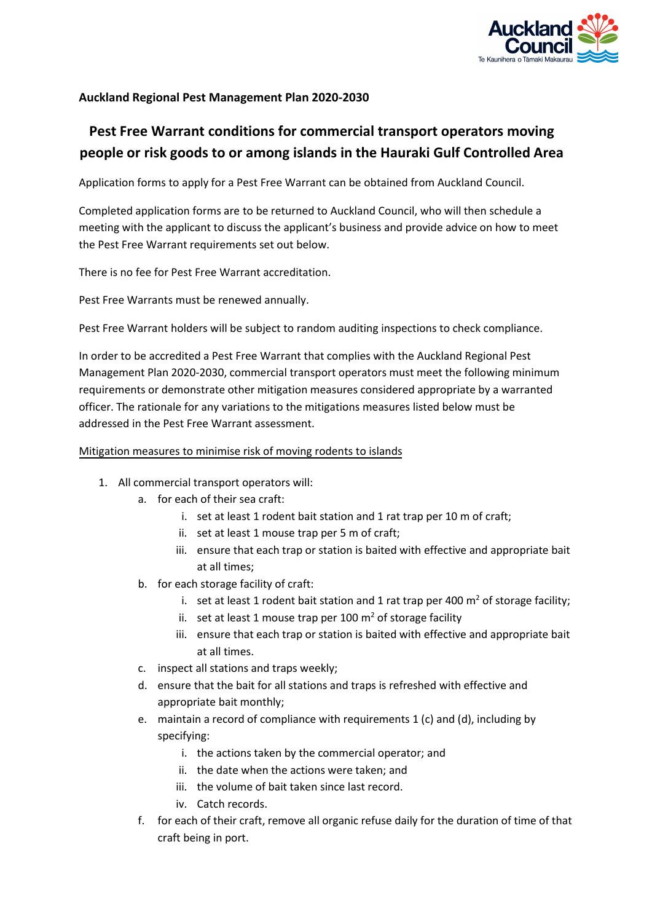

## **Auckland Regional Pest Management Plan 2020-2030**

# **Pest Free Warrant conditions for commercial transport operators moving people or risk goods to or among islands in the Hauraki Gulf Controlled Area**

Application forms to apply for a Pest Free Warrant can be obtained from Auckland Council.

Completed application forms are to be returned to Auckland Council, who will then schedule a meeting with the applicant to discuss the applicant's business and provide advice on how to meet the Pest Free Warrant requirements set out below.

There is no fee for Pest Free Warrant accreditation.

Pest Free Warrants must be renewed annually.

Pest Free Warrant holders will be subject to random auditing inspections to check compliance.

In order to be accredited a Pest Free Warrant that complies with the Auckland Regional Pest Management Plan 2020-2030, commercial transport operators must meet the following minimum requirements or demonstrate other mitigation measures considered appropriate by a warranted officer. The rationale for any variations to the mitigations measures listed below must be addressed in the Pest Free Warrant assessment.

#### Mitigation measures to minimise risk of moving rodents to islands

- 1. All commercial transport operators will:
	- a. for each of their sea craft:
		- i. set at least 1 rodent bait station and 1 rat trap per 10 m of craft;
		- ii. set at least 1 mouse trap per 5 m of craft;
		- iii. ensure that each trap or station is baited with effective and appropriate bait at all times;
	- b. for each storage facility of craft:
		- i. set at least 1 rodent bait station and 1 rat trap per 400  $m<sup>2</sup>$  of storage facility;
		- ii. set at least 1 mouse trap per 100  $m<sup>2</sup>$  of storage facility
		- iii. ensure that each trap or station is baited with effective and appropriate bait at all times.
	- c. inspect all stations and traps weekly;
	- d. ensure that the bait for all stations and traps is refreshed with effective and appropriate bait monthly;
	- e. maintain a record of compliance with requirements 1 (c) and (d), including by specifying:
		- i. the actions taken by the commercial operator; and
		- ii. the date when the actions were taken; and
		- iii. the volume of bait taken since last record.
		- iv. Catch records.
	- f. for each of their craft, remove all organic refuse daily for the duration of time of that craft being in port.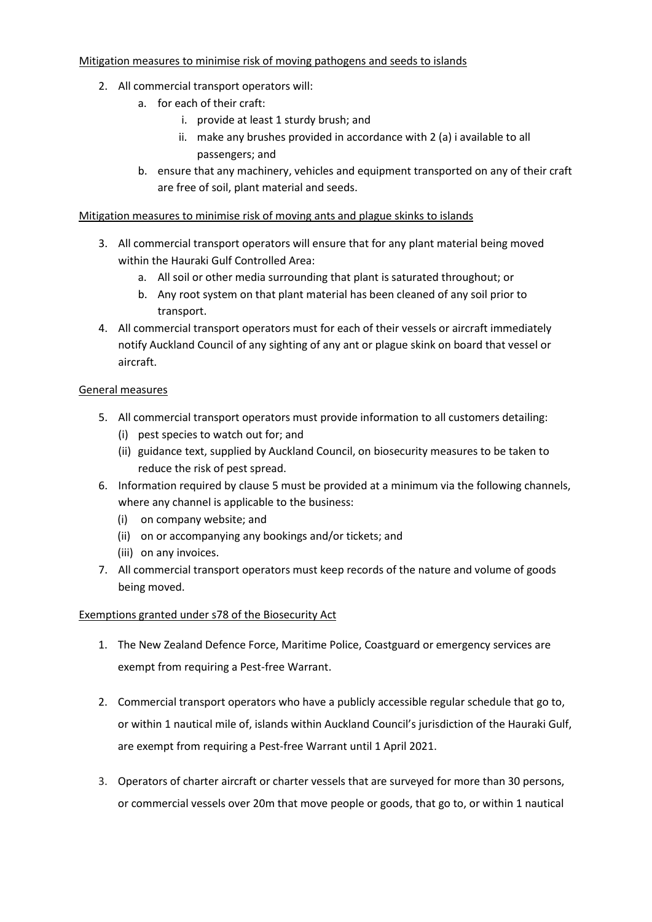### Mitigation measures to minimise risk of moving pathogens and seeds to islands

- 2. All commercial transport operators will:
	- a. for each of their craft:
		- i. provide at least 1 sturdy brush; and
		- ii. make any brushes provided in accordance with 2 (a) i available to all passengers; and
	- b. ensure that any machinery, vehicles and equipment transported on any of their craft are free of soil, plant material and seeds.

### Mitigation measures to minimise risk of moving ants and plague skinks to islands

- 3. All commercial transport operators will ensure that for any plant material being moved within the Hauraki Gulf Controlled Area:
	- a. All soil or other media surrounding that plant is saturated throughout; or
	- b. Any root system on that plant material has been cleaned of any soil prior to transport.
- 4. All commercial transport operators must for each of their vessels or aircraft immediately notify Auckland Council of any sighting of any ant or plague skink on board that vessel or aircraft.

#### General measures

- 5. All commercial transport operators must provide information to all customers detailing:
	- (i) pest species to watch out for; and
	- (ii) guidance text, supplied by Auckland Council, on biosecurity measures to be taken to reduce the risk of pest spread.
- 6. Information required by clause 5 must be provided at a minimum via the following channels, where any channel is applicable to the business:
	- (i) on company website; and
	- (ii) on or accompanying any bookings and/or tickets; and
	- (iii) on any invoices.
- 7. All commercial transport operators must keep records of the nature and volume of goods being moved.

#### Exemptions granted under s78 of the Biosecurity Act

- 1. The New Zealand Defence Force, Maritime Police, Coastguard or emergency services are exempt from requiring a Pest-free Warrant.
- 2. Commercial transport operators who have a publicly accessible regular schedule that go to, or within 1 nautical mile of, islands within Auckland Council's jurisdiction of the Hauraki Gulf, are exempt from requiring a Pest-free Warrant until 1 April 2021.
- 3. Operators of charter aircraft or charter vessels that are surveyed for more than 30 persons, or commercial vessels over 20m that move people or goods, that go to, or within 1 nautical